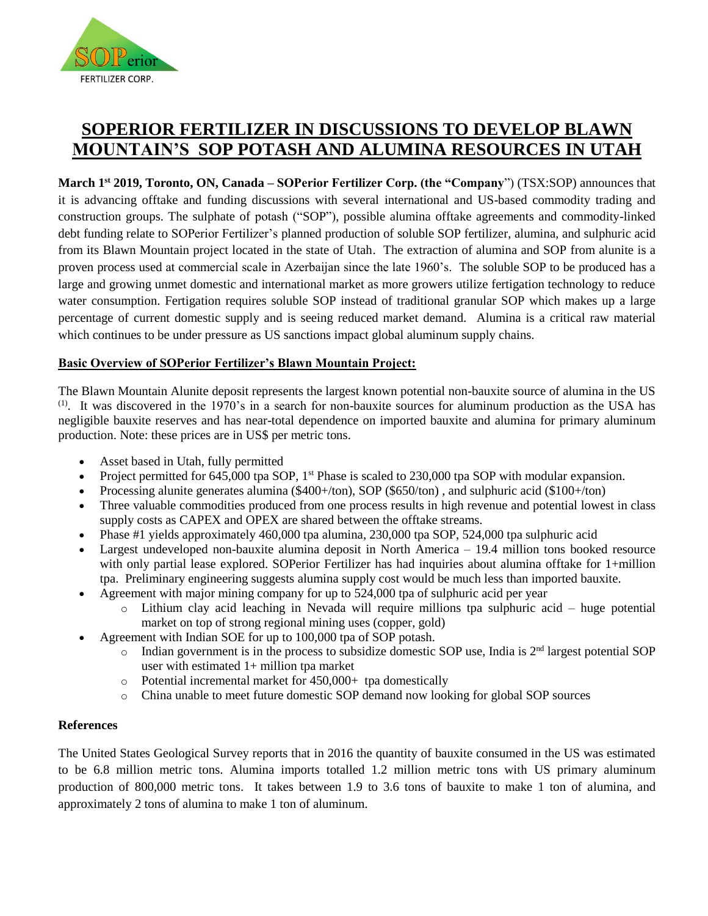

# **SOPERIOR FERTILIZER IN DISCUSSIONS TO DEVELOP BLAWN MOUNTAIN'S SOP POTASH AND ALUMINA RESOURCES IN UTAH**

**March 1 st 2019, Toronto, ON, Canada – SOPerior Fertilizer Corp. (the "Company**") (TSX:SOP) announces that it is advancing offtake and funding discussions with several international and US-based commodity trading and construction groups. The sulphate of potash ("SOP"), possible alumina offtake agreements and commodity-linked debt funding relate to SOPerior Fertilizer's planned production of soluble SOP fertilizer, alumina, and sulphuric acid from its Blawn Mountain project located in the state of Utah. The extraction of alumina and SOP from alunite is a proven process used at commercial scale in Azerbaijan since the late 1960's. The soluble SOP to be produced has a large and growing unmet domestic and international market as more growers utilize fertigation technology to reduce water consumption. Fertigation requires soluble SOP instead of traditional granular SOP which makes up a large percentage of current domestic supply and is seeing reduced market demand. Alumina is a critical raw material which continues to be under pressure as US sanctions impact global aluminum supply chains.

# **Basic Overview of SOPerior Fertilizer's Blawn Mountain Project:**

The Blawn Mountain Alunite deposit represents the largest known potential non-bauxite source of alumina in the US  $(1)$ . It was discovered in the 1970's in a search for non-bauxite sources for aluminum production as the USA has negligible bauxite reserves and has near-total dependence on imported bauxite and alumina for primary aluminum production. Note: these prices are in US\$ per metric tons.

- Asset based in Utah, fully permitted
- Project permitted for 645,000 tpa SOP, 1<sup>st</sup> Phase is scaled to 230,000 tpa SOP with modular expansion.
- Processing alunite generates alumina (\$400+/ton), SOP (\$650/ton) , and sulphuric acid (\$100+/ton)
- Three valuable commodities produced from one process results in high revenue and potential lowest in class supply costs as CAPEX and OPEX are shared between the offtake streams.
- Phase #1 yields approximately 460,000 tpa alumina, 230,000 tpa SOP, 524,000 tpa sulphuric acid
- Largest undeveloped non-bauxite alumina deposit in North America 19.4 million tons booked resource with only partial lease explored. SOPerior Fertilizer has had inquiries about alumina offtake for 1+million tpa. Preliminary engineering suggests alumina supply cost would be much less than imported bauxite.
- Agreement with major mining company for up to 524,000 tpa of sulphuric acid per year
	- o Lithium clay acid leaching in Nevada will require millions tpa sulphuric acid huge potential market on top of strong regional mining uses (copper, gold)
- Agreement with Indian SOE for up to 100,000 tpa of SOP potash.
	- $\circ$  Indian government is in the process to subsidize domestic SOP use, India is  $2<sup>nd</sup>$  largest potential SOP user with estimated 1+ million tpa market
	- $\circ$  Potential incremental market for 450,000+ tpa domestically
	- o China unable to meet future domestic SOP demand now looking for global SOP sources

## **References**

The United States Geological Survey reports that in 2016 the quantity of bauxite consumed in the US was estimated to be 6.8 million metric tons. Alumina imports totalled 1.2 million metric tons with US primary aluminum production of 800,000 metric tons. It takes between 1.9 to 3.6 tons of bauxite to make 1 ton of alumina, and approximately 2 tons of alumina to make 1 ton of aluminum.